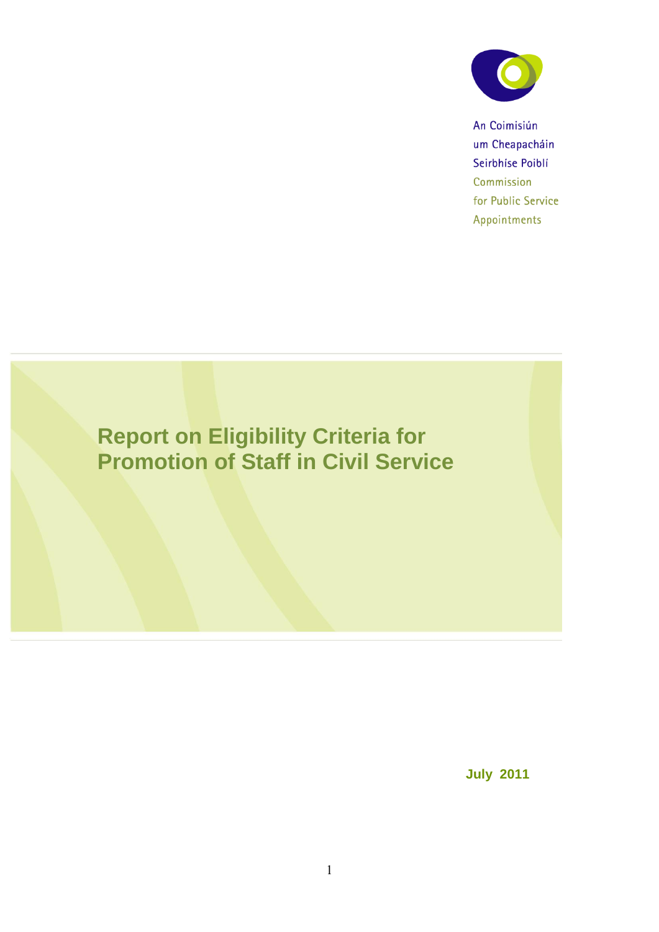

An Coimisiún um Cheapacháin Seirbhíse Poiblí Commission for Public Service Appointments

# **Report on Eligibility Criteria for Promotion of Staff in Civil Service**

**July 2011**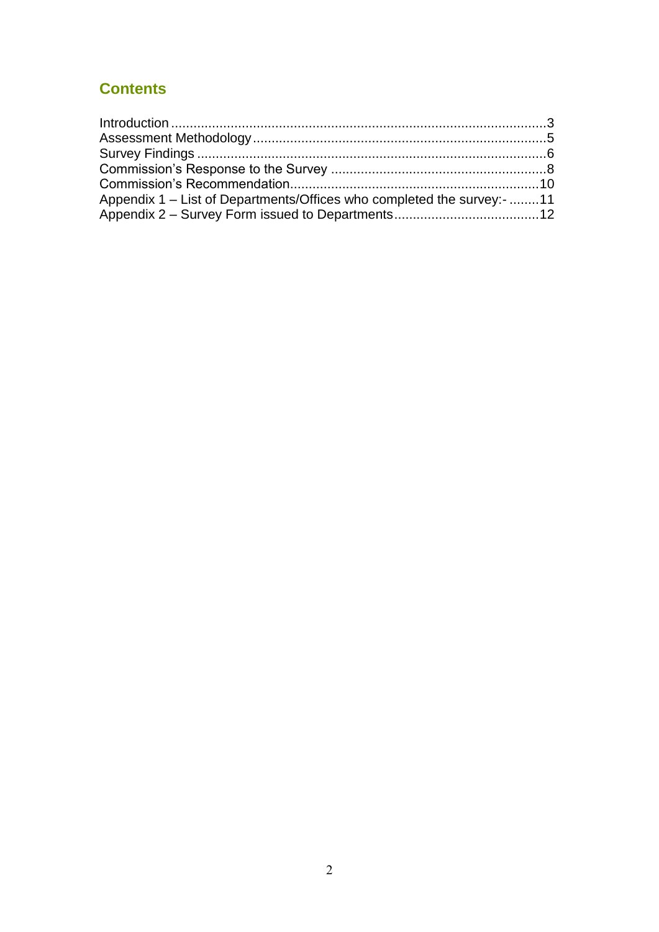### **Contents**

| Appendix 1 – List of Departments/Offices who completed the survey:- 11 |  |
|------------------------------------------------------------------------|--|
|                                                                        |  |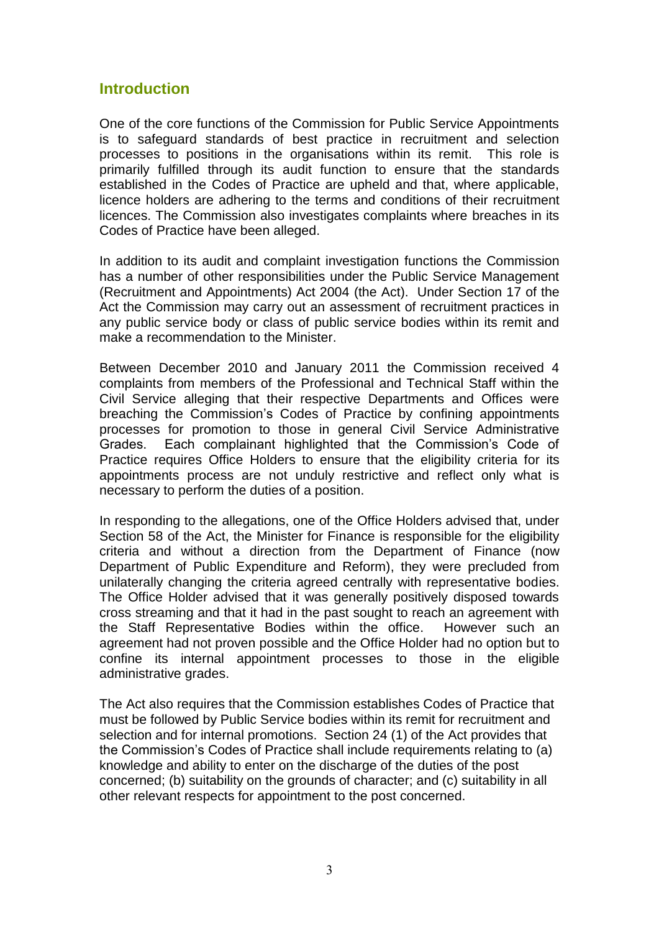#### **Introduction**

One of the core functions of the Commission for Public Service Appointments is to safeguard standards of best practice in recruitment and selection processes to positions in the organisations within its remit. This role is primarily fulfilled through its audit function to ensure that the standards established in the Codes of Practice are upheld and that, where applicable, licence holders are adhering to the terms and conditions of their recruitment licences. The Commission also investigates complaints where breaches in its Codes of Practice have been alleged.

In addition to its audit and complaint investigation functions the Commission has a number of other responsibilities under the Public Service Management (Recruitment and Appointments) Act 2004 (the Act). Under Section 17 of the Act the Commission may carry out an assessment of recruitment practices in any public service body or class of public service bodies within its remit and make a recommendation to the Minister.

Between December 2010 and January 2011 the Commission received 4 complaints from members of the Professional and Technical Staff within the Civil Service alleging that their respective Departments and Offices were breaching the Commission's Codes of Practice by confining appointments processes for promotion to those in general Civil Service Administrative Grades. Each complainant highlighted that the Commission's Code of Practice requires Office Holders to ensure that the eligibility criteria for its appointments process are not unduly restrictive and reflect only what is necessary to perform the duties of a position.

In responding to the allegations, one of the Office Holders advised that, under Section 58 of the Act, the Minister for Finance is responsible for the eligibility criteria and without a direction from the Department of Finance (now Department of Public Expenditure and Reform), they were precluded from unilaterally changing the criteria agreed centrally with representative bodies. The Office Holder advised that it was generally positively disposed towards cross streaming and that it had in the past sought to reach an agreement with the Staff Representative Bodies within the office. However such an agreement had not proven possible and the Office Holder had no option but to confine its internal appointment processes to those in the eligible administrative grades.

The Act also requires that the Commission establishes Codes of Practice that must be followed by Public Service bodies within its remit for recruitment and selection and for internal promotions. Section 24 (1) of the Act provides that the Commission's Codes of Practice shall include requirements relating to (a) knowledge and ability to enter on the discharge of the duties of the post concerned; (b) suitability on the grounds of character; and (c) suitability in all other relevant respects for appointment to the post concerned.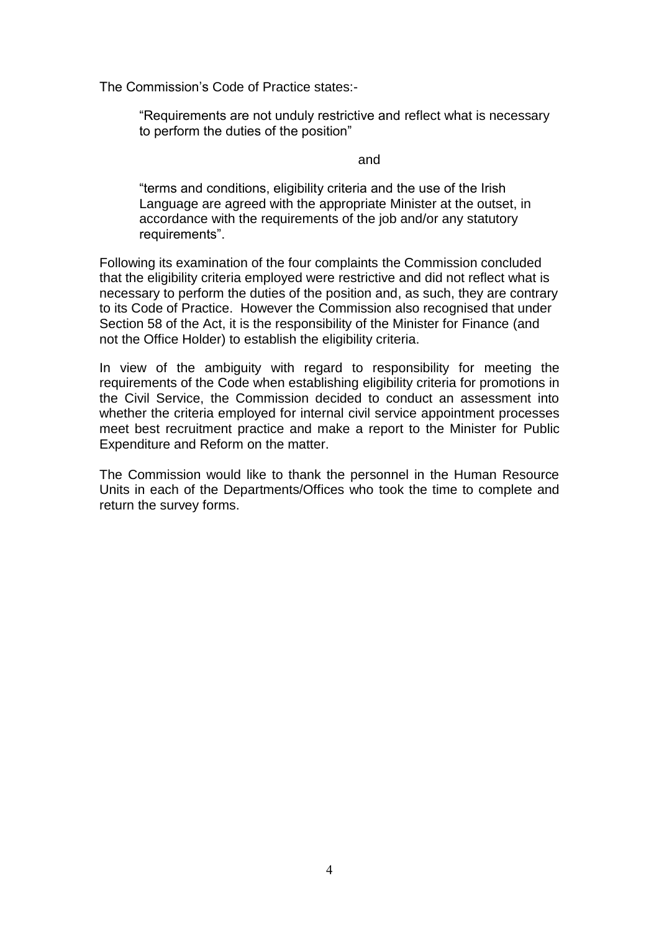The Commission's Code of Practice states:-

"Requirements are not unduly restrictive and reflect what is necessary to perform the duties of the position"

#### and

"terms and conditions, eligibility criteria and the use of the Irish Language are agreed with the appropriate Minister at the outset, in accordance with the requirements of the job and/or any statutory requirements".

Following its examination of the four complaints the Commission concluded that the eligibility criteria employed were restrictive and did not reflect what is necessary to perform the duties of the position and, as such, they are contrary to its Code of Practice. However the Commission also recognised that under Section 58 of the Act, it is the responsibility of the Minister for Finance (and not the Office Holder) to establish the eligibility criteria.

In view of the ambiguity with regard to responsibility for meeting the requirements of the Code when establishing eligibility criteria for promotions in the Civil Service, the Commission decided to conduct an assessment into whether the criteria employed for internal civil service appointment processes meet best recruitment practice and make a report to the Minister for Public Expenditure and Reform on the matter.

The Commission would like to thank the personnel in the Human Resource Units in each of the Departments/Offices who took the time to complete and return the survey forms.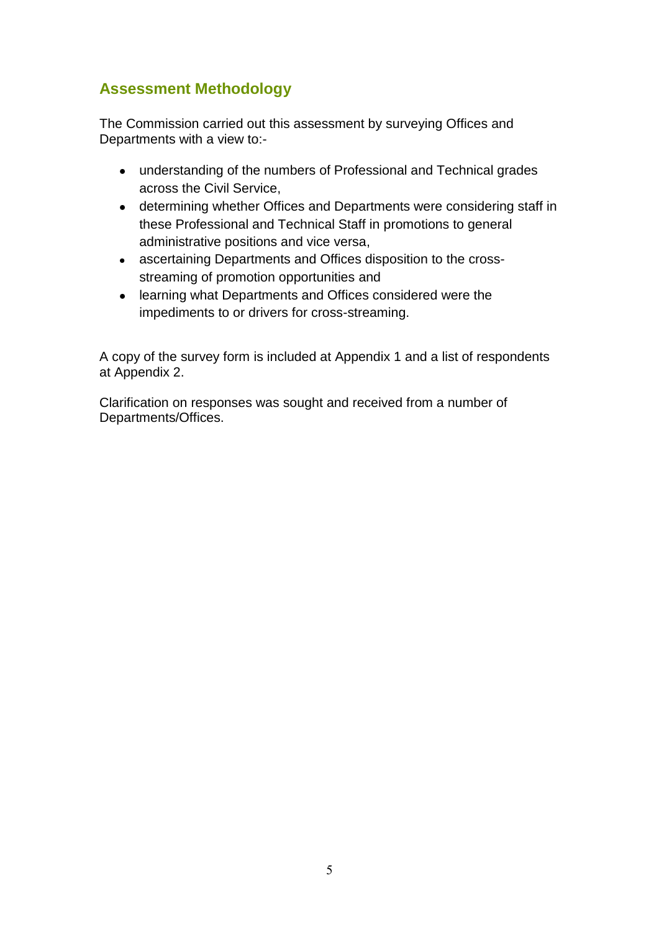#### **Assessment Methodology**

The Commission carried out this assessment by surveying Offices and Departments with a view to:-

- understanding of the numbers of Professional and Technical grades across the Civil Service,
- determining whether Offices and Departments were considering staff in these Professional and Technical Staff in promotions to general administrative positions and vice versa,
- ascertaining Departments and Offices disposition to the crossstreaming of promotion opportunities and
- learning what Departments and Offices considered were the impediments to or drivers for cross-streaming.

A copy of the survey form is included at Appendix 1 and a list of respondents at Appendix 2.

Clarification on responses was sought and received from a number of Departments/Offices.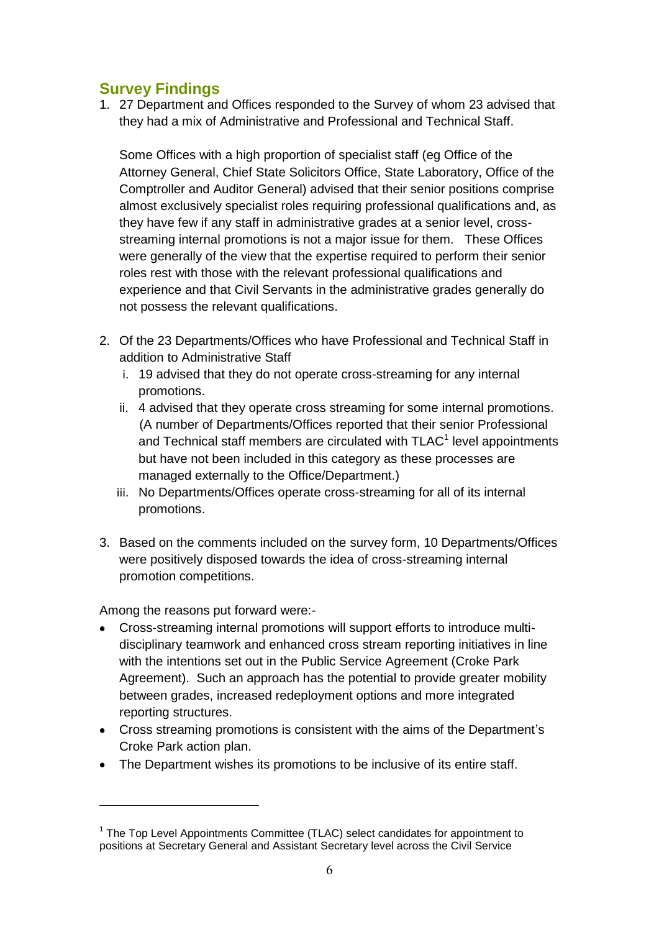#### **Survey Findings**

1. 27 Department and Offices responded to the Survey of whom 23 advised that they had a mix of Administrative and Professional and Technical Staff.

Some Offices with a high proportion of specialist staff (eg Office of the Attorney General, Chief State Solicitors Office, State Laboratory, Office of the Comptroller and Auditor General) advised that their senior positions comprise almost exclusively specialist roles requiring professional qualifications and, as they have few if any staff in administrative grades at a senior level, crossstreaming internal promotions is not a major issue for them. These Offices were generally of the view that the expertise required to perform their senior roles rest with those with the relevant professional qualifications and experience and that Civil Servants in the administrative grades generally do not possess the relevant qualifications.

- 2. Of the 23 Departments/Offices who have Professional and Technical Staff in addition to Administrative Staff
	- i. 19 advised that they do not operate cross-streaming for any internal promotions.
	- ii. 4 advised that they operate cross streaming for some internal promotions. (A number of Departments/Offices reported that their senior Professional and Technical staff members are circulated with  $TLAC<sup>1</sup>$  level appointments but have not been included in this category as these processes are managed externally to the Office/Department.)
	- iii. No Departments/Offices operate cross-streaming for all of its internal promotions.
- 3. Based on the comments included on the survey form, 10 Departments/Offices were positively disposed towards the idea of cross-streaming internal promotion competitions.

Among the reasons put forward were:-

 $\overline{a}$ 

- Cross-streaming internal promotions will support efforts to introduce multidisciplinary teamwork and enhanced cross stream reporting initiatives in line with the intentions set out in the Public Service Agreement (Croke Park Agreement). Such an approach has the potential to provide greater mobility between grades, increased redeployment options and more integrated reporting structures.
- Cross streaming promotions is consistent with the aims of the Department's Croke Park action plan.
- The Department wishes its promotions to be inclusive of its entire staff.

 $1$  The Top Level Appointments Committee (TLAC) select candidates for appointment to positions at Secretary General and Assistant Secretary level across the Civil Service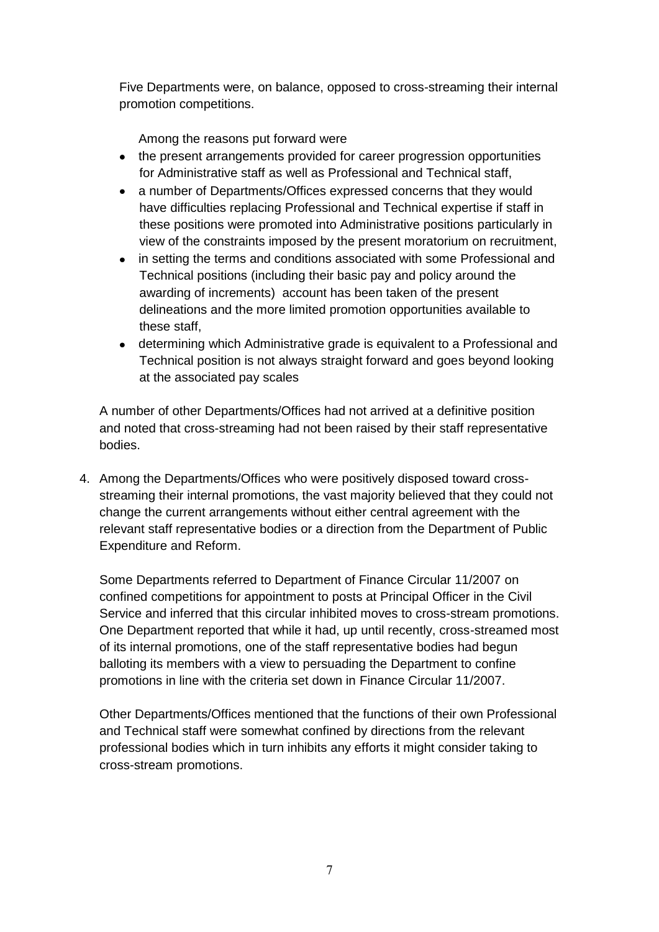Five Departments were, on balance, opposed to cross-streaming their internal promotion competitions.

Among the reasons put forward were

- the present arrangements provided for career progression opportunities for Administrative staff as well as Professional and Technical staff,
- a number of Departments/Offices expressed concerns that they would have difficulties replacing Professional and Technical expertise if staff in these positions were promoted into Administrative positions particularly in view of the constraints imposed by the present moratorium on recruitment,
- $\bullet$ in setting the terms and conditions associated with some Professional and Technical positions (including their basic pay and policy around the awarding of increments) account has been taken of the present delineations and the more limited promotion opportunities available to these staff,
- determining which Administrative grade is equivalent to a Professional and Technical position is not always straight forward and goes beyond looking at the associated pay scales

A number of other Departments/Offices had not arrived at a definitive position and noted that cross-streaming had not been raised by their staff representative bodies.

4. Among the Departments/Offices who were positively disposed toward crossstreaming their internal promotions, the vast majority believed that they could not change the current arrangements without either central agreement with the relevant staff representative bodies or a direction from the Department of Public Expenditure and Reform.

Some Departments referred to Department of Finance Circular 11/2007 on confined competitions for appointment to posts at Principal Officer in the Civil Service and inferred that this circular inhibited moves to cross-stream promotions. One Department reported that while it had, up until recently, cross-streamed most of its internal promotions, one of the staff representative bodies had begun balloting its members with a view to persuading the Department to confine promotions in line with the criteria set down in Finance Circular 11/2007.

Other Departments/Offices mentioned that the functions of their own Professional and Technical staff were somewhat confined by directions from the relevant professional bodies which in turn inhibits any efforts it might consider taking to cross-stream promotions.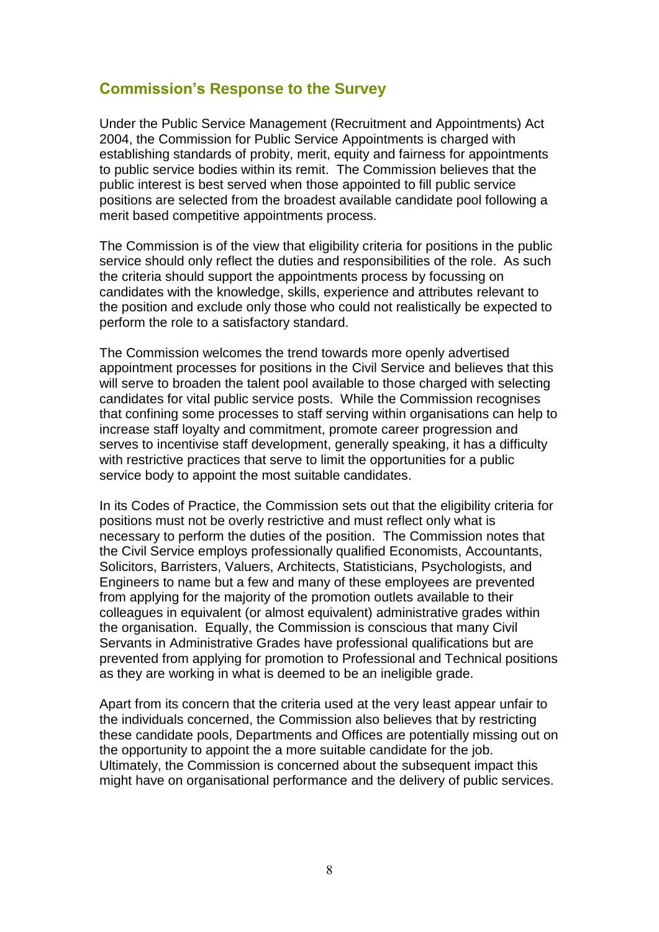#### **Commission's Response to the Survey**

Under the Public Service Management (Recruitment and Appointments) Act 2004, the Commission for Public Service Appointments is charged with establishing standards of probity, merit, equity and fairness for appointments to public service bodies within its remit. The Commission believes that the public interest is best served when those appointed to fill public service positions are selected from the broadest available candidate pool following a merit based competitive appointments process.

The Commission is of the view that eligibility criteria for positions in the public service should only reflect the duties and responsibilities of the role. As such the criteria should support the appointments process by focussing on candidates with the knowledge, skills, experience and attributes relevant to the position and exclude only those who could not realistically be expected to perform the role to a satisfactory standard.

The Commission welcomes the trend towards more openly advertised appointment processes for positions in the Civil Service and believes that this will serve to broaden the talent pool available to those charged with selecting candidates for vital public service posts. While the Commission recognises that confining some processes to staff serving within organisations can help to increase staff loyalty and commitment, promote career progression and serves to incentivise staff development, generally speaking, it has a difficulty with restrictive practices that serve to limit the opportunities for a public service body to appoint the most suitable candidates.

In its Codes of Practice, the Commission sets out that the eligibility criteria for positions must not be overly restrictive and must reflect only what is necessary to perform the duties of the position. The Commission notes that the Civil Service employs professionally qualified Economists, Accountants, Solicitors, Barristers, Valuers, Architects, Statisticians, Psychologists, and Engineers to name but a few and many of these employees are prevented from applying for the majority of the promotion outlets available to their colleagues in equivalent (or almost equivalent) administrative grades within the organisation. Equally, the Commission is conscious that many Civil Servants in Administrative Grades have professional qualifications but are prevented from applying for promotion to Professional and Technical positions as they are working in what is deemed to be an ineligible grade.

Apart from its concern that the criteria used at the very least appear unfair to the individuals concerned, the Commission also believes that by restricting these candidate pools, Departments and Offices are potentially missing out on the opportunity to appoint the a more suitable candidate for the job. Ultimately, the Commission is concerned about the subsequent impact this might have on organisational performance and the delivery of public services.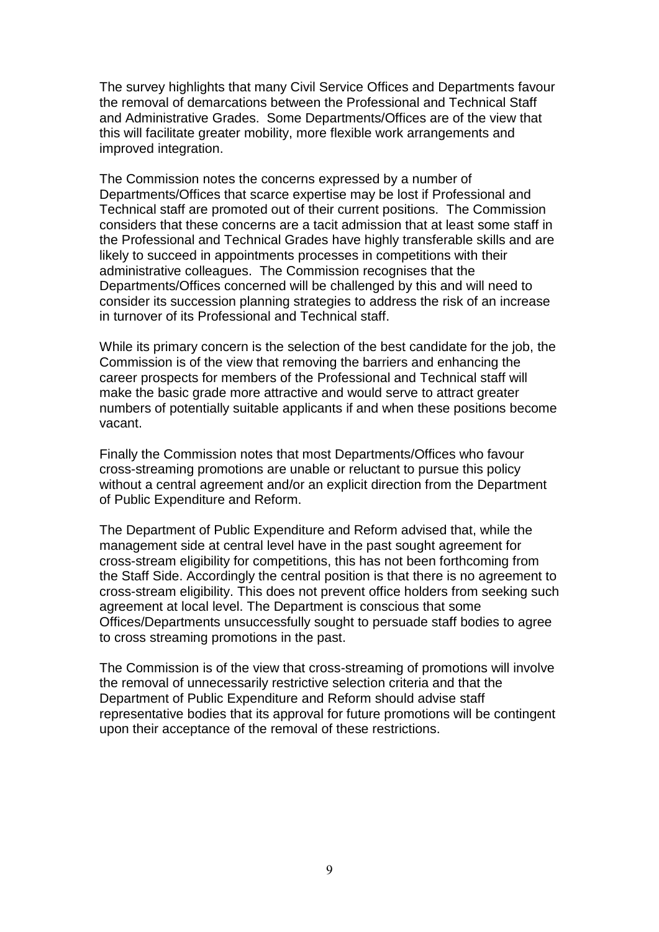The survey highlights that many Civil Service Offices and Departments favour the removal of demarcations between the Professional and Technical Staff and Administrative Grades. Some Departments/Offices are of the view that this will facilitate greater mobility, more flexible work arrangements and improved integration.

The Commission notes the concerns expressed by a number of Departments/Offices that scarce expertise may be lost if Professional and Technical staff are promoted out of their current positions. The Commission considers that these concerns are a tacit admission that at least some staff in the Professional and Technical Grades have highly transferable skills and are likely to succeed in appointments processes in competitions with their administrative colleagues. The Commission recognises that the Departments/Offices concerned will be challenged by this and will need to consider its succession planning strategies to address the risk of an increase in turnover of its Professional and Technical staff.

While its primary concern is the selection of the best candidate for the job, the Commission is of the view that removing the barriers and enhancing the career prospects for members of the Professional and Technical staff will make the basic grade more attractive and would serve to attract greater numbers of potentially suitable applicants if and when these positions become vacant.

Finally the Commission notes that most Departments/Offices who favour cross-streaming promotions are unable or reluctant to pursue this policy without a central agreement and/or an explicit direction from the Department of Public Expenditure and Reform.

The Department of Public Expenditure and Reform advised that, while the management side at central level have in the past sought agreement for cross-stream eligibility for competitions, this has not been forthcoming from the Staff Side. Accordingly the central position is that there is no agreement to cross-stream eligibility. This does not prevent office holders from seeking such agreement at local level. The Department is conscious that some Offices/Departments unsuccessfully sought to persuade staff bodies to agree to cross streaming promotions in the past.

The Commission is of the view that cross-streaming of promotions will involve the removal of unnecessarily restrictive selection criteria and that the Department of Public Expenditure and Reform should advise staff representative bodies that its approval for future promotions will be contingent upon their acceptance of the removal of these restrictions.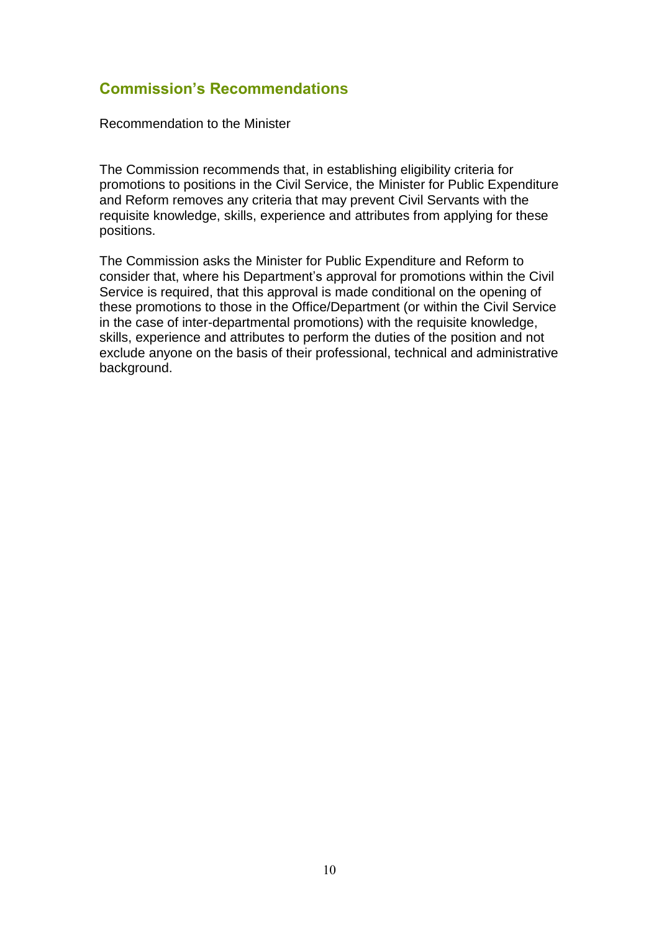#### **Commission's Recommendations**

Recommendation to the Minister

The Commission recommends that, in establishing eligibility criteria for promotions to positions in the Civil Service, the Minister for Public Expenditure and Reform removes any criteria that may prevent Civil Servants with the requisite knowledge, skills, experience and attributes from applying for these positions.

The Commission asks the Minister for Public Expenditure and Reform to consider that, where his Department's approval for promotions within the Civil Service is required, that this approval is made conditional on the opening of these promotions to those in the Office/Department (or within the Civil Service in the case of inter-departmental promotions) with the requisite knowledge, skills, experience and attributes to perform the duties of the position and not exclude anyone on the basis of their professional, technical and administrative background.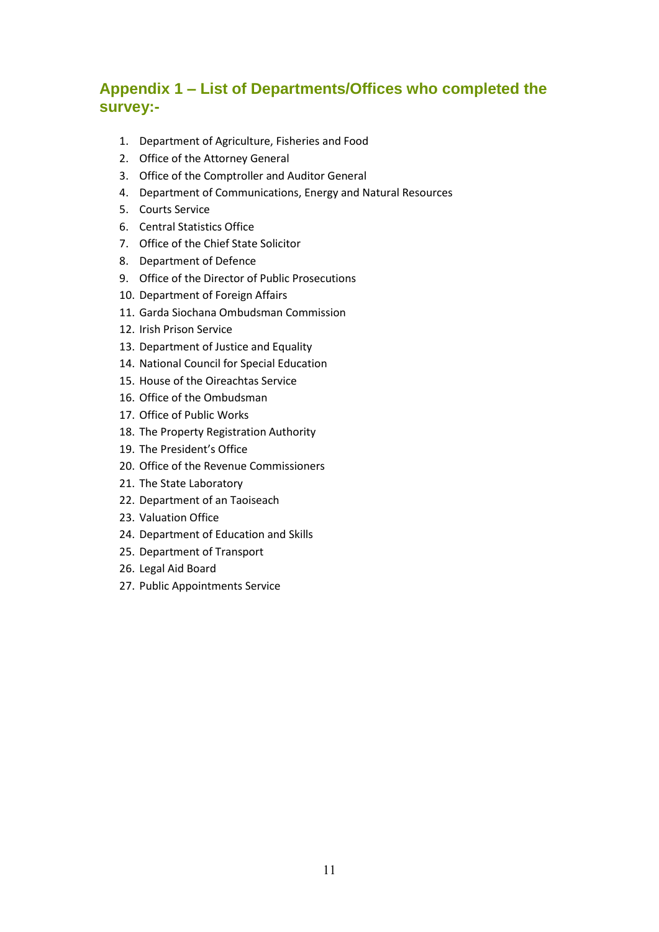### **Appendix 1 – List of Departments/Offices who completed the survey:-**

- 1. Department of Agriculture, Fisheries and Food
- 2. Office of the Attorney General
- 3. Office of the Comptroller and Auditor General
- 4. Department of Communications, Energy and Natural Resources
- 5. Courts Service
- 6. Central Statistics Office
- 7. Office of the Chief State Solicitor
- 8. Department of Defence
- 9. Office of the Director of Public Prosecutions
- 10. Department of Foreign Affairs
- 11. Garda Siochana Ombudsman Commission
- 12. Irish Prison Service
- 13. Department of Justice and Equality
- 14. National Council for Special Education
- 15. House of the Oireachtas Service
- 16. Office of the Ombudsman
- 17. Office of Public Works
- 18. The Property Registration Authority
- 19. The President's Office
- 20. Office of the Revenue Commissioners
- 21. The State Laboratory
- 22. Department of an Taoiseach
- 23. Valuation Office
- 24. Department of Education and Skills
- 25. Department of Transport
- 26. Legal Aid Board
- 27. Public Appointments Service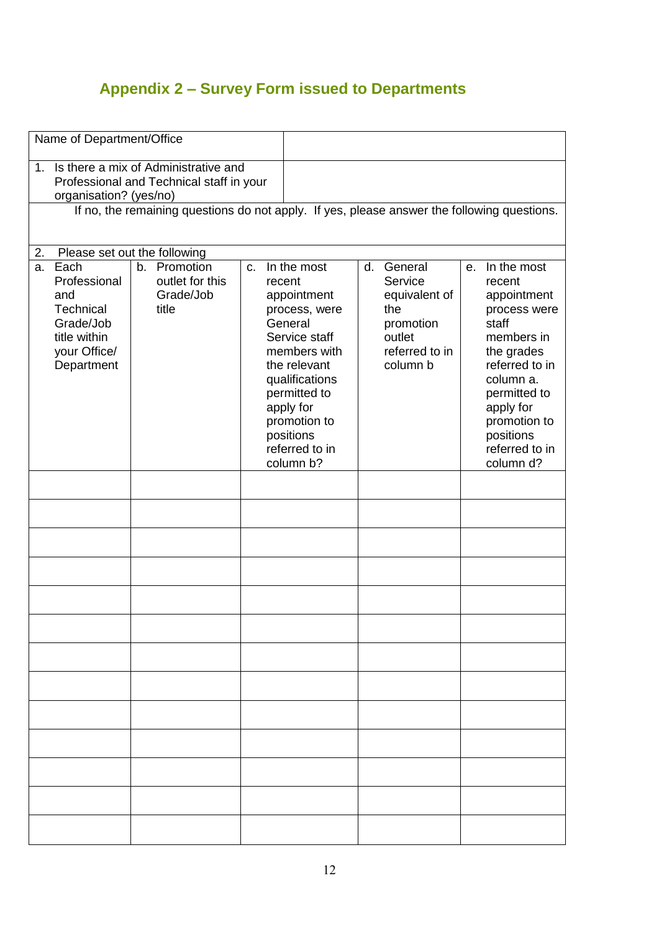## **Appendix 2 – Survey Form issued to Departments**

| Name of Department/Office                                                                          |                                       |                                                   |                                                                                                                                                                   |  |                                                                                      |  |                                                                                                                                                        |
|----------------------------------------------------------------------------------------------------|---------------------------------------|---------------------------------------------------|-------------------------------------------------------------------------------------------------------------------------------------------------------------------|--|--------------------------------------------------------------------------------------|--|--------------------------------------------------------------------------------------------------------------------------------------------------------|
| Is there a mix of Administrative and<br>1 <sub>1</sub><br>Professional and Technical staff in your |                                       |                                                   |                                                                                                                                                                   |  |                                                                                      |  |                                                                                                                                                        |
| organisation? (yes/no)                                                                             |                                       |                                                   |                                                                                                                                                                   |  |                                                                                      |  |                                                                                                                                                        |
| If no, the remaining questions do not apply. If yes, please answer the following questions.        |                                       |                                                   |                                                                                                                                                                   |  |                                                                                      |  |                                                                                                                                                        |
|                                                                                                    |                                       |                                                   |                                                                                                                                                                   |  |                                                                                      |  |                                                                                                                                                        |
| Please set out the following<br>2.                                                                 |                                       |                                                   |                                                                                                                                                                   |  |                                                                                      |  |                                                                                                                                                        |
| Each<br>a.                                                                                         | b. Promotion                          | In the most<br>d. General<br>C <sub>1</sub><br>е. |                                                                                                                                                                   |  |                                                                                      |  | In the most                                                                                                                                            |
| Professional<br>and<br>Technical<br>Grade/Job<br>title within<br>your Office/<br>Department        | outlet for this<br>Grade/Job<br>title |                                                   | recent<br>appointment<br>process, were<br>General<br>Service staff<br>members with<br>the relevant<br>qualifications<br>permitted to<br>apply for<br>promotion to |  | Service<br>equivalent of<br>the<br>promotion<br>outlet<br>referred to in<br>column b |  | recent<br>appointment<br>process were<br>staff<br>members in<br>the grades<br>referred to in<br>column a.<br>permitted to<br>apply for<br>promotion to |
|                                                                                                    |                                       |                                                   | positions<br>referred to in                                                                                                                                       |  |                                                                                      |  | positions<br>referred to in                                                                                                                            |
|                                                                                                    |                                       |                                                   | column b?                                                                                                                                                         |  |                                                                                      |  | column d?                                                                                                                                              |
|                                                                                                    |                                       |                                                   |                                                                                                                                                                   |  |                                                                                      |  |                                                                                                                                                        |
|                                                                                                    |                                       |                                                   |                                                                                                                                                                   |  |                                                                                      |  |                                                                                                                                                        |
|                                                                                                    |                                       |                                                   |                                                                                                                                                                   |  |                                                                                      |  |                                                                                                                                                        |
|                                                                                                    |                                       |                                                   |                                                                                                                                                                   |  |                                                                                      |  |                                                                                                                                                        |
|                                                                                                    |                                       |                                                   |                                                                                                                                                                   |  |                                                                                      |  |                                                                                                                                                        |
|                                                                                                    |                                       |                                                   |                                                                                                                                                                   |  |                                                                                      |  |                                                                                                                                                        |
|                                                                                                    |                                       |                                                   |                                                                                                                                                                   |  |                                                                                      |  |                                                                                                                                                        |
|                                                                                                    |                                       |                                                   |                                                                                                                                                                   |  |                                                                                      |  |                                                                                                                                                        |
|                                                                                                    |                                       |                                                   |                                                                                                                                                                   |  |                                                                                      |  |                                                                                                                                                        |
|                                                                                                    |                                       |                                                   |                                                                                                                                                                   |  |                                                                                      |  |                                                                                                                                                        |
|                                                                                                    |                                       |                                                   |                                                                                                                                                                   |  |                                                                                      |  |                                                                                                                                                        |
|                                                                                                    |                                       |                                                   |                                                                                                                                                                   |  |                                                                                      |  |                                                                                                                                                        |
|                                                                                                    |                                       |                                                   |                                                                                                                                                                   |  |                                                                                      |  |                                                                                                                                                        |